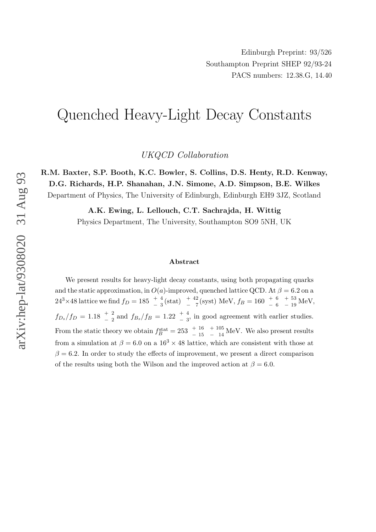# Quenched Heavy-Light Decay Constants

UKQCD Collaboration

R.M. Baxter, S.P. Booth, K.C. Bowler, S. Collins, D.S. Henty, R.D. Kenway, D.G. Richards, H.P. Shanahan, J.N. Simone, A.D. Simpson, B.E. Wilkes Department of Physics, The University of Edinburgh, Edinburgh EH9 3JZ, Scotland

A.K. Ewing, L. Lellouch, C.T. Sachrajda, H. Wittig

Physics Department, The University, Southampton SO9 5NH, UK

#### Abstract

We present results for heavy-light decay constants, using both propagating quarks and the static approximation, in  $O(a)$ -improved, quenched lattice QCD. At  $\beta = 6.2$  on a  $24^3 \times 48$  lattice we find  $f_D = 185 \begin{array}{c} + & 4 \ - & 3 \end{array}$  (stat)  $\begin{array}{c} + & 42 \ - & 7 \end{array}$  $^{+\, \, 42}_{-\, \, 7}$  (syst) MeV,  $f_B = 160^{-+\, \, 6}_{-\, \, -\, 6}$  $^{+\, 53}_{-\, 19}$  MeV,  $f_{D_s}/f_D = 1.18 \begin{array}{l} +2 \\ -2 \end{array}$  and  $f_{B_s}/f_B = 1.22 \begin{array}{l} +4 \\ -3 \end{array}$  in good agreement with earlier studies. From the static theory we obtain  $f_B^{\text{stat}} = 253 \begin{array}{c} +16 \\ -15 \end{array}$  $^{+105}_{-14}$  MeV. We also present results from a simulation at  $\beta = 6.0$  on a  $16^3 \times 48$  lattice, which are consistent with those at  $\beta = 6.2$ . In order to study the effects of improvement, we present a direct comparison of the results using both the Wilson and the improved action at  $\beta = 6.0$ .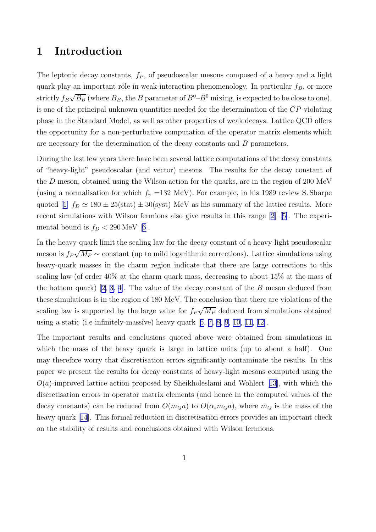# 1 Introduction

The leptonic decay constants,  $f_P$ , of pseudoscalar mesons composed of a heavy and a light quark play an important rôle in weak-interaction phenomenology. In particular  $f_B$ , or more strictly  $f_B\sqrt{B_B}$  (where  $B_B$ , the B parameter of  $B^0$ – $\bar{B}^0$  mixing, is expected to be close to one), is one of the principal unknown quantities needed for the determination of the CP-violating phase in the Standard Model, as well as other properties of weak decays. Lattice QCD offers the opportunity for a non-perturbative computation of the operator matrix elements which are necessary for the determination of the decay constants and B parameters.

During the last few years there have been several lattice computations of the decay constants of "heavy-light" pseudoscalar (and vector) mesons. The results for the decay constant of the D meson, obtained using the Wilson action for the quarks, are in the region of 200 MeV (using a normalisation for which  $f_{\pi}$  =132 MeV). For example, in his 1989 review S. Sharpe quoted [\[1\]](#page-29-0)  $f_D \simeq 180 \pm 25 \text{(stat)} \pm 30 \text{(syst)}$  MeV as his summary of the lattice results. More recent simulations with Wilson fermions also give results in this range [[2\]](#page-29-0)–[[5\]](#page-29-0). The experimental bound is  $f_D < 290 \,\text{MeV}$  [\[6](#page-29-0)].

In the heavy-quark limit the scaling law for the decay constant of a heavy-light pseudoscalar meson is  $f_P\sqrt{M_P} \sim \text{constant}$  (up to mild logarithmic corrections). Lattice simulations using heavy-quark masses in the charm region indicate that there are large corrections to this scaling law (of order 40% at the charm quark mass, decreasing to about 15% at the mass of the bottom quark) [[2,](#page-29-0) [3,](#page-29-0) [4\]](#page-29-0). The value of the decay constant of the B meson deduced from these simulations is in the region of 180 MeV. The conclusion that there are violations of the scaling law is supported by the large value for  $f_P\sqrt{M_P}$  deduced from simulations obtained using a static (i.e infinitely-massive) heavy quark [[5,](#page-29-0) [7,](#page-29-0) [8,](#page-29-0) [9,](#page-29-0) [10](#page-29-0), [11](#page-29-0), [12\]](#page-29-0).

The important results and conclusions quoted above were obtained from simulations in which the mass of the heavy quark is large in lattice units (up to about a half). One may therefore worry that discretisation errors significantly contaminate the results. In this paper we present the results for decay constants of heavy-light mesons computed using the  $O(a)$ -improved lattice action proposed by Sheikholeslami and Wohlert [[13\]](#page-29-0), with which the discretisation errors in operator matrix elements (and hence in the computed values of the decay constants) can be reduced from  $O(m_Qa)$  to  $O(\alpha_s m_Qa)$ , where  $m_Q$  is the mass of the heavy quark [[14](#page-29-0)]. This formal reduction in discretisation errors provides an important check on the stability of results and conclusions obtained with Wilson fermions.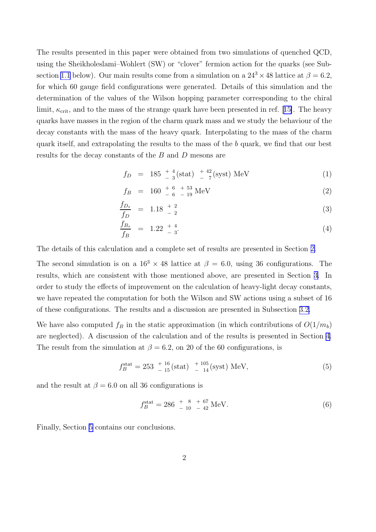The results presented in this paper were obtained from two simulations of quenched QCD, using the Sheikholeslami–Wohlert (SW) or "clover" fermion action for the quarks (see Sub-section [1.1](#page-3-0) below). Our main results come from a simulation on a  $24^3 \times 48$  lattice at  $\beta = 6.2$ , for which 60 gauge field configurations were generated. Details of this simulation and the determination of the values of the Wilson hopping parameter corresponding to the chiral limit,  $\kappa_{\rm crit}$ , and to the mass of the strange quark have been presented in ref. [[15\]](#page-29-0). The heavy quarks have masses in the region of the charm quark mass and we study the behaviour of the decay constants with the mass of the heavy quark. Interpolating to the mass of the charm quark itself, and extrapolating the results to the mass of the b quark, we find that our best results for the decay constants of the B and D mesons are

$$
f_D = 185 \frac{+4}{-3} \text{(stat)} \frac{+42}{-7} \text{(syst)} \text{ MeV} \tag{1}
$$

$$
f_B = 160 \begin{array}{c} +6 \\ -6 \end{array} + \begin{array}{c} 53 \\ -19 \end{array} \text{MeV} \tag{2}
$$

$$
\frac{f_{D_s}}{f_D} = 1.18 \frac{+2}{-2} \tag{3}
$$

$$
\frac{f_{B_s}}{f_B} = 1.22 \frac{+4}{-3}.
$$
\n(4)

The details of this calculation and a complete set of results are presented in Section [2.](#page-5-0)

The second simulation is on a  $16^3 \times 48$  lattice at  $\beta = 6.0$ , using 36 configurations. The results, which are consistent with those mentioned above, are presented in Section [3.](#page-16-0) In order to study the effects of improvement on the calculation of heavy-light decay constants, we have repeated the computation for both the Wilson and SW actions using a subset of 16 of these configurations. The results and a discussion are presented in Subsection [3.2.](#page-18-0)

We have also computed  $f_B$  in the static approximation (in which contributions of  $O(1/m_b)$ ) are neglected). A discussion of the calculation and of the results is presented in Section [4.](#page-20-0) The result from the simulation at  $\beta = 6.2$ , on 20 of the 60 configurations, is

$$
f_B^{\text{stat}} = 253 \, \frac{^{+ 16}}{^{- 15}} \text{(stat)} \, \frac{^{+ 105}}{^{- 14}} \text{(syst)} \text{ MeV},\tag{5}
$$

and the result at  $\beta = 6.0$  on all 36 configurations is

$$
f_B^{\text{stat}} = 286 \begin{array}{l} + \\ - \\ 10 \end{array} \begin{array}{l} + \\ - \\ 42 \end{array} \text{MeV.} \tag{6}
$$

Finally, Section [5](#page-27-0) contains our conclusions.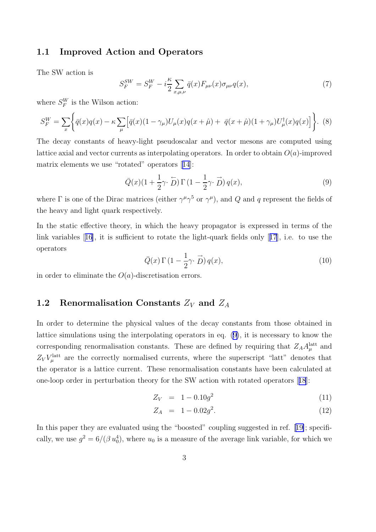### <span id="page-3-0"></span>1.1 Improved Action and Operators

The SW action is

$$
S_F^{SW} = S_F^W - i\frac{\kappa}{2} \sum_{x,\mu,\nu} \bar{q}(x) F_{\mu\nu}(x) \sigma_{\mu\nu} q(x), \tag{7}
$$

where  $S_F^W$  is the Wilson action:

$$
S_F^W = \sum_x \left\{ \bar{q}(x)q(x) - \kappa \sum_{\mu} \left[ \bar{q}(x)(1 - \gamma_{\mu})U_{\mu}(x)q(x + \hat{\mu}) + \bar{q}(x + \hat{\mu})(1 + \gamma_{\mu})U_{\mu}^{\dagger}(x)q(x) \right] \right\}.
$$
 (8)

The decay constants of heavy-light pseudoscalar and vector mesons are computed using lattice axial and vector currents as interpolating operators. In order to obtain  $O(a)$ -improved matrix elements we use "rotated" operators [[14](#page-29-0)]:

$$
\overline{Q}(x)(1+\frac{1}{2}\gamma\cdot\overleftarrow{D})\Gamma(1-\frac{1}{2}\gamma\cdot\overrightarrow{D})q(x),\tag{9}
$$

where  $\Gamma$  is one of the Dirac matrices (either  $\gamma^{\mu}\gamma^{5}$  or  $\gamma^{\mu}$ ), and Q and q represent the fields of the heavy and light quark respectively.

In the static effective theory, in which the heavy propagator is expressed in terms of the link variables [[16](#page-29-0)], it is sufficient to rotate the light-quark fields only [[17](#page-30-0)], i.e. to use the operators

$$
\overline{Q}(x)\Gamma\left(1-\frac{1}{2}\gamma\cdot\overrightarrow{D}\right)q(x),\tag{10}
$$

in order to eliminate the  $O(a)$ -discretisation errors.

# 1.2 Renormalisation Constants  $Z_V$  and  $Z_A$

In order to determine the physical values of the decay constants from those obtained in lattice simulations using the interpolating operators in eq. (9), it is necessary to know the corresponding renormalisation constants. These are defined by requiring that  $Z_A A_\mu^{\text{latt}}$  and  $Z_V V_\mu^{\rm latt}$  are the correctly normalised currents, where the superscript "latt" denotes that the operator is a lattice current. These renormalisation constants have been calculated at one-loop order in perturbation theory for the SW action with rotated operators [[18](#page-30-0)]:

$$
Z_V = 1 - 0.10g^2 \tag{11}
$$

$$
Z_A = 1 - 0.02g^2. \tag{12}
$$

In this paper they are evaluated using the "boosted" coupling suggested in ref. [[19\]](#page-30-0); specifically, we use  $g^2 = 6/(\beta u_0^4)$ , where  $u_0$  is a measure of the average link variable, for which we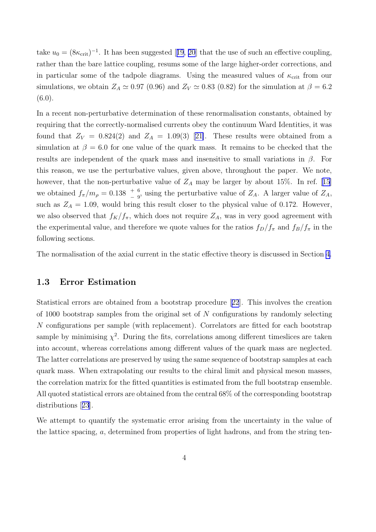take  $u_0 = (8\kappa_{\rm crit})^{-1}$ . It has been suggested [[19](#page-30-0), [20](#page-30-0)] that the use of such an effective coupling, rather than the bare lattice coupling, resums some of the large higher-order corrections, and in particular some of the tadpole diagrams. Using the measured values of  $\kappa_{\rm crit}$  from our simulations, we obtain  $Z_A \simeq 0.97$  (0.96) and  $Z_V \simeq 0.83$  (0.82) for the simulation at  $\beta = 6.2$  $(6.0).$ 

In a recent non-perturbative determination of these renormalisation constants, obtained by requiring that the correctly-normalised currents obey the continuum Ward Identities, it was found that  $Z_V = 0.824(2)$  and  $Z_A = 1.09(3)$  [\[21\]](#page-30-0). These results were obtained from a simulation at  $\beta = 6.0$  for one value of the quark mass. It remains to be checked that the results are independent of the quark mass and insensitive to small variations in  $\beta$ . For this reason, we use the perturbative values, given above, throughout the paper. We note, however, that the non-perturbative value of  $Z_A$  may be larger by about [15](#page-29-0)%. In ref. [15] we obtained  $f_{\pi}/m_{\rho} = 0.138 \begin{pmatrix} 6 \\ -9 \end{pmatrix}$  using the perturbative value of  $Z_A$ . A larger value of  $Z_A$ , such as  $Z_A = 1.09$ , would bring this result closer to the physical value of 0.172. However, we also observed that  $f_K/f_\pi$ , which does not require  $Z_A$ , was in very good agreement with the experimental value, and therefore we quote values for the ratios  $f_D/f_\pi$  and  $f_B/f_\pi$  in the following sections.

The normalisation of the axial current in the static effective theory is discussed in Section [4.](#page-20-0)

### 1.3 Error Estimation

Statistical errors are obtained from a bootstrap procedure [[22](#page-30-0)]. This involves the creation of 1000 bootstrap samples from the original set of  $N$  configurations by randomly selecting N configurations per sample (with replacement). Correlators are fitted for each bootstrap sample by minimising  $\chi^2$ . During the fits, correlations among different timeslices are taken into account, whereas correlations among different values of the quark mass are neglected. The latter correlations are preserved by using the same sequence of bootstrap samples at each quark mass. When extrapolating our results to the chiral limit and physical meson masses, the correlation matrix for the fitted quantities is estimated from the full bootstrap ensemble. All quoted statistical errors are obtained from the central 68% of the corresponding bootstrap distributions [[23](#page-30-0)].

We attempt to quantify the systematic error arising from the uncertainty in the value of the lattice spacing, a, determined from properties of light hadrons, and from the string ten-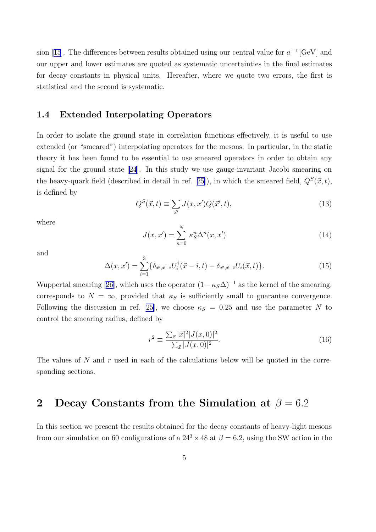<span id="page-5-0"></span>sion [[15](#page-29-0)]. The differences between results obtained using our central value for  $a^{-1}$  [GeV] and our upper and lower estimates are quoted as systematic uncertainties in the final estimates for decay constants in physical units. Hereafter, where we quote two errors, the first is statistical and the second is systematic.

## 1.4 Extended Interpolating Operators

In order to isolate the ground state in correlation functions effectively, it is useful to use extended (or "smeared") interpolating operators for the mesons. In particular, in the static theory it has been found to be essential to use smeared operators in order to obtain any signal for the ground state [[24](#page-30-0)]. In this study we use gauge-invariant Jacobi smearing on the heavy-quark field (described in detail in ref. [[25\]](#page-30-0)), in which the smeared field,  $Q^S(\vec{x},t)$ , is defined by

$$
Q^S(\vec{x},t) \equiv \sum_{\vec{x}'} J(x,x')Q(\vec{x}',t),\tag{13}
$$

where

$$
J(x, x') = \sum_{n=0}^{N} \kappa_S^n \Delta^n(x, x')
$$
\n(14)

and

$$
\Delta(x, x') = \sum_{i=1}^{3} \{ \delta_{\vec{x}', \vec{x} - \hat{i}} U_i^{\dagger} (\vec{x} - \hat{i}, t) + \delta_{\vec{x}', \vec{x} + \hat{i}} U_i (\vec{x}, t) \}.
$$
 (15)

Wuppertal smearing [[26](#page-30-0)], which uses the operator  $(1 - \kappa_S \Delta)^{-1}$  as the kernel of the smearing, corresponds to  $N = \infty$ , provided that  $\kappa_S$  is sufficiently small to guarantee convergence. Following the discussion in ref. [\[25\]](#page-30-0), we choose  $\kappa_S = 0.25$  and use the parameter N to control the smearing radius, defined by

$$
r^{2} \equiv \frac{\sum_{\vec{x}} |\vec{x}|^{2} |J(x,0)|^{2}}{\sum_{\vec{x}} |J(x,0)|^{2}}.
$$
\n(16)

The values of  $N$  and  $r$  used in each of the calculations below will be quoted in the corresponding sections.

# 2 Decay Constants from the Simulation at  $\beta = 6.2$

In this section we present the results obtained for the decay constants of heavy-light mesons from our simulation on 60 configurations of a  $24^3 \times 48$  at  $\beta = 6.2$ , using the SW action in the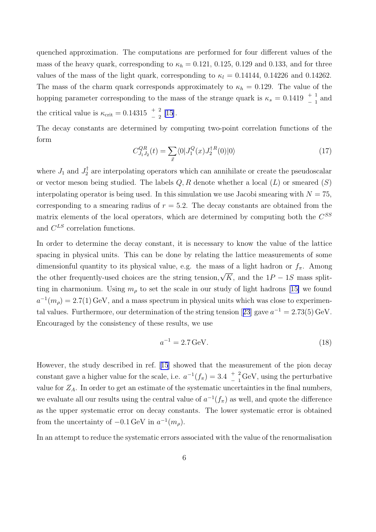quenched approximation. The computations are performed for four different values of the mass of the heavy quark, corresponding to  $\kappa_h = 0.121, 0.125, 0.129$  and 0.133, and for three values of the mass of the light quark, corresponding to  $\kappa_l = 0.14144$ , 0.14226 and 0.14262. The mass of the charm quark corresponds approximately to  $\kappa_h = 0.129$ . The value of the hopping parameter corresponding to the mass of the strange quark is  $\kappa_s = 0.1419 \begin{array}{c} + & 1 \\ - & 1 \end{array}$  and the critical value is  $\kappa_{\rm crit} = 0.14315 \begin{array}{c} + & 2 \\ - & 2 \end{array}$  [\[15\]](#page-29-0).

The decay constants are determined by computing two-point correlation functions of the form

$$
C_{J_1 J_2}^{QR}(t) = \sum_{\vec{x}} \langle 0 | J_1^Q(x) J_2^{\dagger R}(0) | 0 \rangle \tag{17}
$$

where  $J_1$  and  $J_2^{\dagger}$  are interpolating operators which can annihilate or create the pseudoscalar or vector meson being studied. The labels  $Q, R$  denote whether a local  $(L)$  or smeared  $(S)$ interpolating operator is being used. In this simulation we use Jacobi smearing with  $N = 75$ , corresponding to a smearing radius of  $r = 5.2$ . The decay constants are obtained from the matrix elements of the local operators, which are determined by computing both the  $C^{SS}$ and  $C^{LS}$  correlation functions.

In order to determine the decay constant, it is necessary to know the value of the lattice spacing in physical units. This can be done by relating the lattice measurements of some dimensionful quantity to its physical value, e.g. the mass of a light hadron or  $f_{\pi}$ . Among the other frequently-used choices are the string tension,  $\sqrt{K}$ , and the  $1P - 1S$  mass splitting in charmonium. Using  $m_{\rho}$  to set the scale in our study of light hadrons [[15\]](#page-29-0) we found  $a^{-1}(m_{\rho}) = 2.7(1) \,\text{GeV}$ , and a mass spectrum in physical units which was close to experimen-tal values. Furthermore, our determination of the string tension [[23](#page-30-0)] gave  $a^{-1} = 2.73(5)$  GeV. Encouraged by the consistency of these results, we use

$$
a^{-1} = 2.7 \,\text{GeV}.\tag{18}
$$

However, the study described in ref. [[15](#page-29-0)] showed that the measurement of the pion decay constant gave a higher value for the scale, i.e.  $a^{-1}(f_\pi) = 3.4^{+2.2}_{-1.1}$  $\frac{+}{-}$  <sup>2</sup> GeV, using the perturbative value for  $Z_A$ . In order to get an estimate of the systematic uncertainties in the final numbers, we evaluate all our results using the central value of  $a^{-1}(f_\pi)$  as well, and quote the difference as the upper systematic error on decay constants. The lower systematic error is obtained from the uncertainty of  $-0.1 \,\text{GeV}$  in  $a^{-1}(m_\rho)$ .

In an attempt to reduce the systematic errors associated with the value of the renormalisation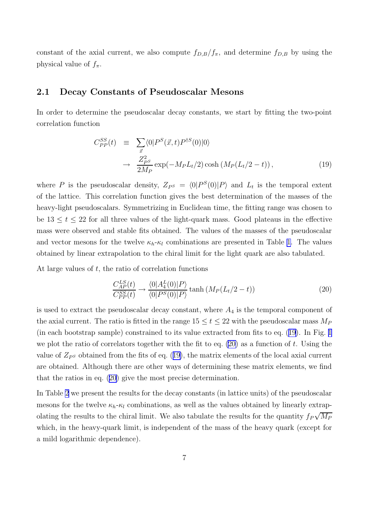<span id="page-7-0"></span>constant of the axial current, we also compute  $f_{D,B}/f_{\pi}$ , and determine  $f_{D,B}$  by using the physical value of  $f_{\pi}$ .

### 2.1 Decay Constants of Pseudoscalar Mesons

In order to determine the pseudoscalar decay constants, we start by fitting the two-point correlation function

$$
C_{PP}^{SS}(t) \equiv \sum_{\vec{x}} \langle 0|P^{S}(\vec{x},t)P^{\dagger S}(0)|0\rangle
$$
  

$$
\rightarrow \frac{Z_{PS}^{2}}{2M_{P}} \exp(-M_{P}L_{t}/2) \cosh(M_{P}(L_{t}/2-t)), \qquad (19)
$$

where P is the pseudoscalar density,  $Z_{PS} = \langle 0|P^S(0)|P\rangle$  and  $L_t$  is the temporal extent of the lattice. This correlation function gives the best determination of the masses of the heavy-light pseudoscalars. Symmetrizing in Euclidean time, the fitting range was chosen to be  $13 \le t \le 22$  for all three values of the light-quark mass. Good plateaus in the effective mass were observed and stable fits obtained. The values of the masses of the pseudoscalar and vector mesons for the twelve  $\kappa_h-\kappa_l$  combinations are presented in Table [1.](#page-8-0) The values obtained by linear extrapolation to the chiral limit for the light quark are also tabulated.

At large values of  $t$ , the ratio of correlation functions

$$
\frac{C_{AP}^{LS}(t)}{C_{PP}^{SS}(t)} \rightarrow \frac{\langle 0|A_4^L(0)|P\rangle}{\langle 0|P^S(0)|P\rangle} \tanh\left(M_P(L_t/2-t)\right) \tag{20}
$$

is used to extract the pseudoscalar decay constant, where  $A_4$  is the temporal component of the axial current. The ratio is fitted in the range  $15 \le t \le 22$  with the pseudoscalar mass  $M_P$ (in each bootstrap sample) constrained to its value extracted from fits to eq. (19). In Fig. [1](#page-10-0) we plot the ratio of correlators together with the fit to eq.  $(20)$  as a function of t. Using the value of  $Z_{P}$  obtained from the fits of eq. (19), the matrix elements of the local axial current are obtained. Although there are other ways of determining these matrix elements, we find that the ratios in eq. (20) give the most precise determination.

In Table [2](#page-9-0) we present the results for the decay constants (in lattice units) of the pseudoscalar mesons for the twelve  $\kappa_h-\kappa_l$  combinations, as well as the values obtained by linearly extrapolating the results to the chiral limit. We also tabulate the results for the quantity  $f_P\sqrt{M_P}$ which, in the heavy-quark limit, is independent of the mass of the heavy quark (except for a mild logarithmic dependence).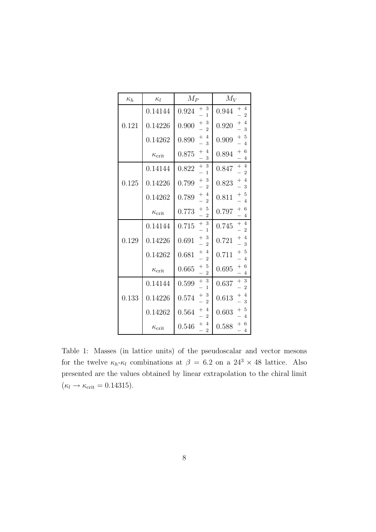<span id="page-8-0"></span>

| $\kappa_h$ | $\kappa_l$          | $M_P$                                                            | $M_V$                                               |
|------------|---------------------|------------------------------------------------------------------|-----------------------------------------------------|
|            | 0.14144             | 3<br>$\hspace{0.1mm} +\hspace{0.1mm}$<br>0.924<br>1              | 4<br>$^+$<br>0.944<br>$\overline{2}$                |
| 0.121      | 0.14226             | 3<br>$\hspace{0.1mm} +$<br>0.900<br>$\overline{2}$               | 4<br>$^+$<br>0.920<br>3                             |
|            | 0.14262             | $\overline{4}$<br>$^+$<br>0.890<br>3                             | 5<br>$^+$<br>0.909<br>$\overline{4}$                |
|            | $\kappa_{\rm crit}$ | 4<br>$^{+}$<br>0.875<br>3                                        | 6<br>$^{+}$<br>0.894<br>4                           |
|            | 0.14144             | 3<br>$^{+}$<br>0.822<br>1                                        | $+$<br>$\overline{4}$<br>0.847<br>$\overline{2}$    |
| 0.125      | 0.14226             | 3<br>$\hspace{0.1mm} +$<br>0.799<br>$\overline{2}$               | 4<br>$\hspace{0.1mm} +$<br>0.823<br>3               |
|            | 0.14262             | $^{+}$<br>4<br>0.789<br>$\overline{2}$                           | $^{+}$<br>5<br>0.811<br>4                           |
|            | $\kappa_{\rm crit}$ | 5<br>$^+$<br>0.773<br>$\overline{2}$                             | 6<br>$\hspace{0.1mm} +$<br>0.797<br>$\overline{4}$  |
|            | 0.14144             | $^{+}$<br>3<br>0.715<br>1                                        | $^{+}$<br>$\overline{4}$<br>0.745<br>$\overline{2}$ |
| 0.129      | 0.14226             | 3<br>$^+$<br>0.691<br>$\overline{2}$                             | $\overline{4}$<br>$+$<br>0.721<br>3                 |
|            | 0.14262             | 4<br>$\hspace{0.1mm} +\hspace{0.1mm}$<br>0.681<br>$\overline{2}$ | 5<br>$^{+}$<br>0.711<br>$\overline{4}$              |
|            | $\kappa_{\rm crit}$ | 5<br>$^{+}$<br>0.665<br>$\overline{2}$                           | 6<br>$^{+}$<br>0.695<br>4                           |
|            | 0.14144             | 3<br>$^{+}$<br>0.599<br>1                                        | -3<br>$^{+}$<br>0.637<br>$\overline{2}$             |
| 0.133      | 0.14226             | 3<br>$\hspace{0.1mm} +$<br>0.574<br>$\overline{2}$               | $\overline{4}$<br>$^+$<br>0.613<br>3                |
|            | 0.14262             | 4<br>$^+$<br>0.564<br>$\overline{2}$                             | 5<br>$\hspace{0.1mm} +$<br>0.603<br>$\overline{4}$  |
|            | $\kappa_{\rm crit}$ | $\overline{4}$<br>$^+$<br>0.546<br>$\overline{2}$                | 6<br>$^+$<br>0.588<br>$\overline{4}$                |

Table 1: Masses (in lattice units) of the pseudoscalar and vector mesons for the twelve  $\kappa_h$ - $\kappa_l$  combinations at  $\beta = 6.2$  on a  $24^3 \times 48$  lattice. Also presented are the values obtained by linear extrapolation to the chiral limit  $(\kappa_l \rightarrow \kappa_{\rm crit} = 0.14315).$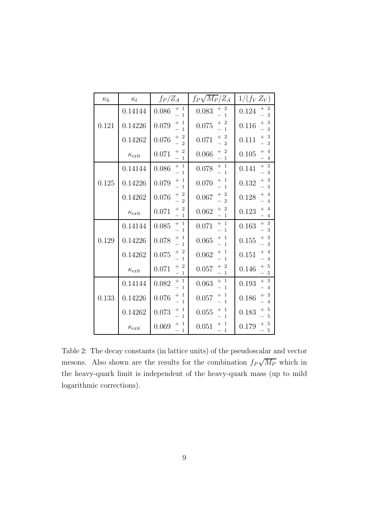<span id="page-9-0"></span>

| $\kappa_h$ | $\kappa_l$          | $f_P/Z_A$                                                                | $f_P\sqrt{M_P}/Z_A$                                                      | $1/(f_V Z_V)$                                                   |
|------------|---------------------|--------------------------------------------------------------------------|--------------------------------------------------------------------------|-----------------------------------------------------------------|
|            | 0.14144             | $\begin{array}{c} + \ \ 1 \\ - \ \ 1 \end{array}$<br>0.086               | $+2$<br>0.083<br>$\mathbf{1}$                                            | $\begin{array}{c} + & 2 \\ - & 3 \end{array}$<br>0.124<br>3     |
| 0.121      | 0.14226             | $+1$<br>0.079<br>$\mathbf{1}$                                            | $\begin{array}{c} + & 2 \\ - & 1 \end{array}$<br>0.075                   | -3<br>$^+$<br>0.116<br>3                                        |
|            | 0.14262             | $\begin{array}{c} + & 2 \\ - & 2 \end{array}$<br>0.076<br>$\overline{2}$ | $\begin{array}{c} + & 2 \\ - & 2 \end{array}$<br>0.071<br>$\overline{2}$ | $+3$<br>0.111<br>3                                              |
|            | $\kappa_{\rm crit}$ | $\overline{\mathbf{c}}$<br>$^{+}$<br>0.071<br>$-1$                       | $\overline{\mathbf{2}}$<br>$^{+}$<br>0.066<br>$\overline{1}$             | $\overline{4}$<br>$^{+}$<br>0.105<br>$\overline{4}$             |
|            | 0.14144             | $\begin{array}{c} + & 1 \\ - & 1 \end{array}$<br>0.086                   | $\begin{array}{c} + & 1 \\ - & 1 \end{array}$<br>0.078<br>$\mathbf{1}$   | $\begin{array}{c} + & 3 \\ - & 3 \end{array}$<br>0.141<br>3     |
| 0.125      | 0.14226             | $\begin{array}{c} + & 1 \\ - & 1 \end{array}$<br>0.079                   | $\mathbf{1}$<br>$\frac{+}{-}$<br>0.070<br>$\mathbf{1}$                   | $+3$<br>0.132<br>$\mathbf{3}$                                   |
|            | 0.14262             | $+2$<br>0.076<br>$\overline{2}$                                          | $+2$<br>0.067<br>$\overline{2}$                                          | $^{+}$<br>$\overline{4}$<br>0.128<br>$\overline{4}$             |
|            | $\kappa_{\rm crit}$ | $\begin{array}{c} + & 2 \\ - & 1 \end{array}$<br>0.071                   | $+2$<br>0.062<br>$\overline{1}$                                          | $\overline{4}$<br>0.123<br>$\overline{4}$                       |
|            | 0.14144             | $+1$<br>0.085<br>$\overline{1}$                                          | $+1$<br>0.071<br>$\mathbf{1}$                                            | $+3$<br>0.163<br>3                                              |
| 0.129      | 0.14226             | $\frac{+}{-}$<br>0.078<br>$\overline{1}$                                 | $\begin{array}{c} + & 1 \\ - & 1 \end{array}$<br>0.065<br>$\mathbf{1}$   | $\begin{array}{c} + & 3 \\ - & 3 \end{array}$<br>0.155<br>3     |
|            | 0.14262             | $+2$<br>0.075<br>$\overline{1}$                                          | $\mathbf{1}$<br>$\! +$<br>0.062<br>$\mathbf{1}$                          | $\overline{4}$<br>$\hspace{0.1mm} +$<br>0.151<br>$\overline{4}$ |
|            | $\kappa_{\rm crit}$ | $+2$<br>0.071<br>$\overline{1}$                                          | $+2$<br>0.057<br>$\mathbf{1}$                                            | - 5<br>0.146<br>- 5                                             |
|            | 0.14144             | $+1$<br>0.082<br>$\mathbf{1}$                                            | $+1$<br>0.063<br>$\mathbf{1}$                                            | $+3$<br>0.193<br>$\overline{4}$                                 |
| 0.133      | 0.14226             | $+1$<br>0.076<br>$\mathbf{1}$                                            | $\mathbf{1}$<br>$^{+}$<br>0.057<br>$\mathbf{1}$                          | $+3$<br>0.186<br>$\overline{4}$                                 |
|            | 0.14262             | $\frac{+}{-}$<br>0.073<br>$\overline{1}$                                 | $\begin{array}{c} + & 1 \\ - & 1 \end{array}$<br>0.055<br>$\overline{1}$ | $\overline{5}$<br>0.183<br>$\overline{5}$                       |
|            | $\kappa_{\rm crit}$ | $\mathbf{1}$<br>$^+$<br>0.069<br>$\overline{1}$                          | $\mathbf{1}$<br>$^+$<br>0.051<br>$\mathbf{1}$                            | $\overline{5}$<br>$^+$<br>0.179<br>5                            |

Table 2: The decay constants (in lattice units) of the pseudoscalar and vector mesons. Also shown are the results for the combination  $f_P\sqrt{M_P}$  which in the heavy-quark limit is independent of the heavy-quark mass (up to mild logarithmic corrections).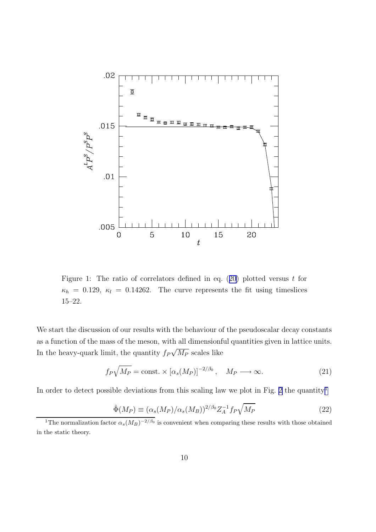<span id="page-10-0"></span>

Figure 1: The ratio of correlators defined in eq.  $(20)$  $(20)$  plotted versus t for  $\kappa_h = 0.129, \ \kappa_l = 0.14262.$  The curve represents the fit using timeslices 15–22.

We start the discussion of our results with the behaviour of the pseudoscalar decay constants as a function of the mass of the meson, with all dimensionful quantities given in lattice units. In the heavy-quark limit, the quantity  $f_P\sqrt{M_P}$  scales like

$$
f_P \sqrt{M_P} = \text{const.} \times [\alpha_s(M_P)]^{-2/\beta_0}, \quad M_P \longrightarrow \infty.
$$
 (21)

In order to detect possible deviations from this scaling law we plot in Fig. [2](#page-13-0) the quantity<sup>1</sup>

$$
\hat{\Phi}(M_P) \equiv (\alpha_s(M_P)/\alpha_s(M_B))^{2/\beta_0} Z_A^{-1} f_P \sqrt{M_P}
$$
\n(22)

<sup>&</sup>lt;sup>1</sup>The normalization factor  $\alpha_s(M_B)^{-2/\beta_0}$  is convenient when comparing these results with those obtained in the static theory.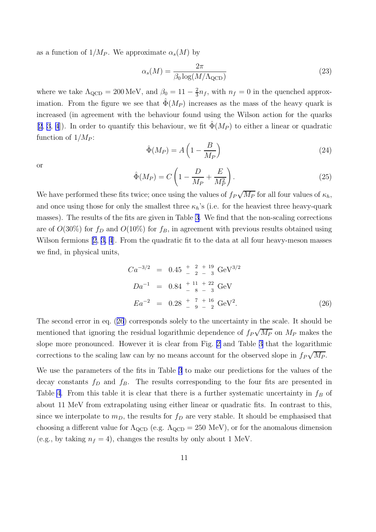<span id="page-11-0"></span>as a function of  $1/M_P$ . We approximate  $\alpha_s(M)$  by

$$
\alpha_s(M) = \frac{2\pi}{\beta_0 \log(M/\Lambda_{\rm QCD})}
$$
\n(23)

where we take  $\Lambda_{\text{QCD}} = 200 \,\text{MeV}$ , and  $\beta_0 = 11 - \frac{2}{3} n_f$ , with  $n_f = 0$  in the quenched approximation. From the figure we see that  $\hat{\Phi}(M_P)$  increases as the mass of the heavy quark is increased (in agreement with the behaviour found using the Wilson action for the quarks [\[2,](#page-29-0) [3](#page-29-0), [4](#page-29-0)]). In order to quantify this behaviour, we fit  $\Phi(M_P)$  to either a linear or quadratic function of  $1/M_P$ :

$$
\hat{\Phi}(M_P) = A \left( 1 - \frac{B}{M_P} \right) \tag{24}
$$

or

$$
\hat{\Phi}(M_P) = C \left( 1 - \frac{D}{M_P} + \frac{E}{M_P^2} \right). \tag{25}
$$

We have performed these fits twice; once using the values of  $f_P\sqrt{M_P}$  for all four values of  $\kappa_h$ , and once using those for only the smallest three  $\kappa_h$ 's (i.e. for the heaviest three heavy-quark masses). The results of the fits are given in Table [3.](#page-12-0) We find that the non-scaling corrections are of  $O(30\%)$  for  $f_D$  and  $O(10\%)$  for  $f_B$ , in agreement with previous results obtained using Wilson fermions [\[2](#page-29-0), [3,](#page-29-0) [4](#page-29-0)]. From the quadratic fit to the data at all four heavy-meson masses we find, in physical units,

$$
Ca^{-3/2} = 0.45 \frac{+}{-2} \frac{2}{-3} \frac{19}{-3} \text{ GeV}^{3/2}
$$
  
\n
$$
Da^{-1} = 0.84 \frac{+11}{-8} \frac{+22}{-3} \text{ GeV}
$$
  
\n
$$
Ea^{-2} = 0.28 \frac{+}{-9} \frac{7}{-2} \text{ GeV}^2.
$$
 (26)

The second error in eq. (26) corresponds solely to the uncertainty in the scale. It should be mentioned that ignoring the residual logarithmic dependence of  $f_P\sqrt{M_P}$  on  $M_P$  makes the slope more pronounced. However it is clear from Fig. [2](#page-13-0) and Table [3](#page-12-0) that the logarithmic corrections to the scaling law can by no means account for the observed slope in  $f_P\sqrt{M_P}$ .

We use the parameters of the fits in Table [3](#page-12-0) to make our predictions for the values of the decay constants  $f_D$  and  $f_B$ . The results corresponding to the four fits are presented in Table [4](#page-12-0). From this table it is clear that there is a further systematic uncertainty in  $f_B$  of about 11 MeV from extrapolating using either linear or quadratic fits. In contrast to this, since we interpolate to  $m_D$ , the results for  $f_D$  are very stable. It should be emphasised that choosing a different value for  $\Lambda_{\rm QCD}$  (e.g.  $\Lambda_{\rm QCD} = 250$  MeV), or for the anomalous dimension (e.g., by taking  $n_f = 4$ ), changes the results by only about 1 MeV.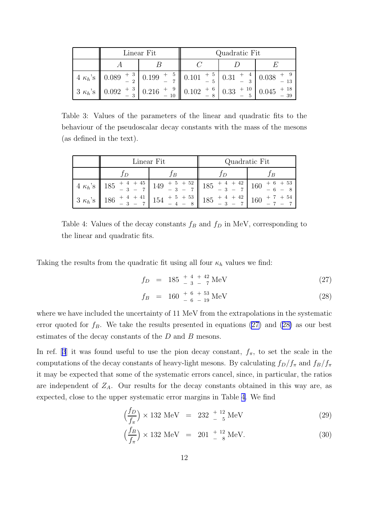<span id="page-12-0"></span>

|  | Linear Fit                                                                                                                                                                                                           | Quadratic Fit |  |  |  |
|--|----------------------------------------------------------------------------------------------------------------------------------------------------------------------------------------------------------------------|---------------|--|--|--|
|  |                                                                                                                                                                                                                      |               |  |  |  |
|  | $4 \kappa_h$ 's $\left[ 0.089 \begin{array}{c} +3 \\ -2 \end{array} \right] 0.199 \left[ -\frac{5}{7} \right] 0.101 \left[ +\frac{5}{5} \right] 0.31 \left[ +\frac{4}{3} \right] 0.038 \left[ +\frac{9}{13} \right]$ |               |  |  |  |
|  |                                                                                                                                                                                                                      |               |  |  |  |

Table 3: Values of the parameters of the linear and quadratic fits to the behaviour of the pseudoscalar decay constants with the mass of the mesons (as defined in the text).

|  | Linear Fit | Quadratic Fit                                                                                                            |                            |  |
|--|------------|--------------------------------------------------------------------------------------------------------------------------|----------------------------|--|
|  | I B        |                                                                                                                          | ĪВ                         |  |
|  |            | $4 \kappa_h$ 's $185 + 4 + 45$<br>$-3 - 7$<br>$149 + 5 + 52$<br>$-3 - 7$<br>$185 + 4 + 42$<br>$-3 - 7$<br>$160 + 6 + 53$ |                            |  |
|  |            | $185 + 4 + 42$<br>$-3 - 7$                                                                                               | $160 + 7 + 54$<br>$-7 - 7$ |  |

Table 4: Values of the decay constants  $f_B$  and  $f_D$  in MeV, corresponding to the linear and quadratic fits.

Taking the results from the quadratic fit using all four  $\kappa_h$  values we find:

$$
f_D = 185 \frac{+4}{-3} \frac{+42}{-7} \,\text{MeV} \tag{27}
$$

$$
f_B = 160 \frac{+ 6 + 53}{- 6 - 19} \,\text{MeV} \tag{28}
$$

where we have included the uncertainty of 11 MeV from the extrapolations in the systematic error quoted for  $f_B$ . We take the results presented in equations (27) and (28) as our best estimates of the decay constants of the D and B mesons.

In ref. [[3](#page-29-0)] it was found useful to use the pion decay constant,  $f_{\pi}$ , to set the scale in the computations of the decay constants of heavy-light mesons. By calculating  $f_D/f_\pi$  and  $f_B/f_\pi$ it may be expected that some of the systematic errors cancel, since, in particular, the ratios are independent of  $Z_A$ . Our results for the decay constants obtained in this way are, as expected, close to the upper systematic error margins in Table 4. We find

$$
\left(\frac{f_D}{f_\pi}\right) \times 132 \text{ MeV} = 232 \frac{+12}{-5} \text{ MeV} \tag{29}
$$

$$
\left(\frac{f_B}{f_\pi}\right) \times 132 \text{ MeV} = 201 \frac{+12}{-8} \text{ MeV}.
$$
 (30)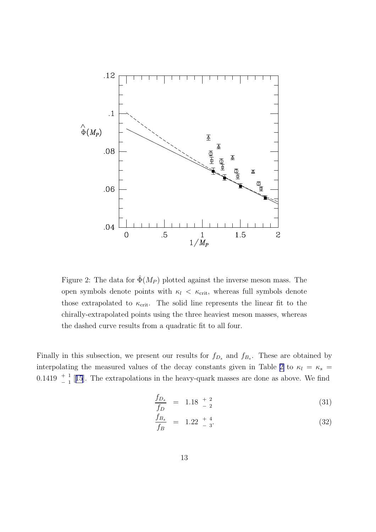<span id="page-13-0"></span>

Figure 2: The data for  $\hat{\Phi}(M_P)$  plotted against the inverse meson mass. The open symbols denote points with  $\kappa_l \, < \, \kappa_{\rm crit}$ , whereas full symbols denote those extrapolated to  $\kappa_{\rm crit}$ . The solid line represents the linear fit to the chirally-extrapolated points using the three heaviest meson masses, whereas the dashed curve results from a quadratic fit to all four.

Finally in this subsection, we present our results for  $f_{D_s}$  and  $f_{B_s}$ . These are obtained by interpolating the measured values of the decay constants given in Table [2](#page-9-0) to  $\kappa_l = \kappa_s$  = 0.1419  $\frac{+}{-1}$  [[15](#page-29-0)]. The extrapolations in the heavy-quark masses are done as above. We find

$$
\frac{f_{D_s}}{f_D} = 1.18 \begin{array}{c} +2 \\ -2 \end{array} \tag{31}
$$

$$
\frac{f_{B_s}}{f_B} = 1.22 \frac{+4}{-3}.
$$
\n(32)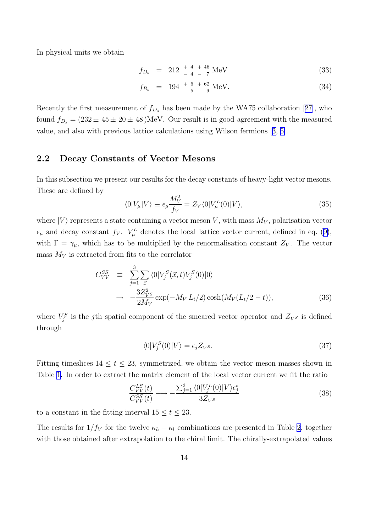In physical units we obtain

$$
f_{D_s} = 212 \frac{+4}{-4} \frac{+46}{-7} \,\text{MeV} \tag{33}
$$

$$
f_{B_s} = 194 \frac{+ 6 + 62}{- 5 - 9} \text{MeV.}
$$
 (34)

Recently the first measurement of  $f_{D_s}$  has been made by the WA75 collaboration [[27\]](#page-30-0), who found  $f_{D_s} = (232 \pm 45 \pm 20 \pm 48)$  MeV. Our result is in good agreement with the measured value, and also with previous lattice calculations using Wilson fermions [[3,](#page-29-0) [5\]](#page-29-0).

### 2.2 Decay Constants of Vector Mesons

In this subsection we present our results for the decay constants of heavy-light vector mesons. These are defined by

$$
\langle 0|V_{\mu}|V\rangle \equiv \epsilon_{\mu} \frac{M_V^2}{f_V} = Z_V \langle 0|V_{\mu}^L(0)|V\rangle, \tag{35}
$$

where  $|V\rangle$  represents a state containing a vector meson V, with mass  $M_V$ , polarisation vector  $\epsilon_{\mu}$  and decay constant  $f_V$ .  $V^L_{\mu}$  denotes the local lattice vector current, defined in eq. ([9\)](#page-3-0), with  $\Gamma = \gamma_{\mu}$ , which has to be multiplied by the renormalisation constant  $Z_V$ . The vector mass  $M_V$  is extracted from fits to the correlator

$$
C_{VV}^{SS} \equiv \sum_{j=1}^{3} \sum_{\vec{x}} \langle 0 | V_j^S(\vec{x}, t) V_j^S(0) | 0 \rangle
$$
  

$$
\rightarrow -\frac{3Z_{V^S}^2}{2M_V} \exp(-M_V L_t/2) \cosh(M_V (L_t/2 - t)), \qquad (36)
$$

where  $V_j^S$  is the j<sup>th</sup> spatial component of the smeared vector operator and  $Z_{V^S}$  is defined through

$$
\langle 0|V_j^S(0)|V\rangle = \epsilon_j Z_{V^S}.\tag{37}
$$

Fitting timeslices  $14 \le t \le 23$ , symmetrized, we obtain the vector meson masses shown in Table [1.](#page-8-0) In order to extract the matrix element of the local vector current we fit the ratio

$$
\frac{C_{VV}^{LS}(t)}{C_{VV}^{SS}(t)} \longrightarrow -\frac{\sum_{j=1}^{3} \langle 0|V_j^L(0)|V \rangle \epsilon_j^*}{3Z_{V^S}}
$$
(38)

to a constant in the fitting interval  $15 \le t \le 23$ .

The results for  $1/f_V$  for the twelve  $\kappa_h - \kappa_l$  combinations are presented in Table [2,](#page-9-0) together with those obtained after extrapolation to the chiral limit. The chirally-extrapolated values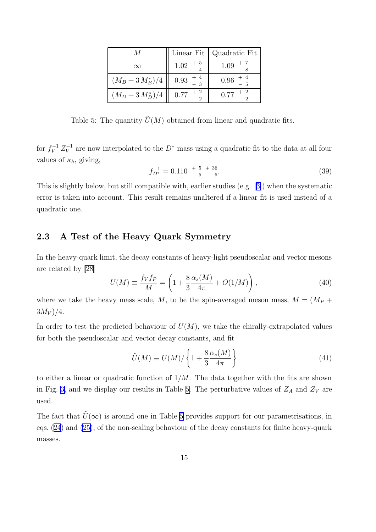|                     | Linear Fit           | Quadratic Fit |
|---------------------|----------------------|---------------|
| $\infty$            | $1.02 + 5$           | 1.09          |
| $(M_B + 3 M_B^*)/4$ | $0.93$ <sup>+</sup>  | 0.96          |
| $(M_D + 3 M_D^*)/4$ | $0.77 + \frac{2}{3}$ | 0.77          |

Table 5: The quantity  $\tilde{U}(M)$  obtained from linear and quadratic fits.

for  $f_V^{-1} Z_V^{-1}$  are now interpolated to the  $D^*$  mass using a quadratic fit to the data at all four values of  $\kappa_h$ , giving,

$$
f_{D^*}^{-1} = 0.110 \begin{array}{c} + & 5 & + & 36 \\ - & 5 & - & 5 \end{array} \tag{39}
$$

This is slightly below, but still compatible with, earlier studies (e.g. [[3\]](#page-29-0)) when the systematic error is taken into account. This result remains unaltered if a linear fit is used instead of a quadratic one.

# 2.3 A Test of the Heavy Quark Symmetry

In the heavy-quark limit, the decay constants of heavy-light pseudoscalar and vector mesons are related by [\[28\]](#page-30-0)

$$
U(M) = \frac{f_V f_P}{M} = \left(1 + \frac{8}{3} \frac{\alpha_s(M)}{4\pi} + O(1/M)\right),
$$
 (40)

where we take the heavy mass scale, M, to be the spin-averaged meson mass,  $M = (M_P +$  $3M_V)/4.$ 

In order to test the predicted behaviour of  $U(M)$ , we take the chirally-extrapolated values for both the pseudoscalar and vector decay constants, and fit

$$
\tilde{U}(M) \equiv U(M) / \left\{ 1 + \frac{8}{3} \frac{\alpha_s(M)}{4\pi} \right\} \tag{41}
$$

to either a linear or quadratic function of  $1/M$ . The data together with the fits are shown in Fig. [3,](#page-16-0) and we display our results in Table 5. The perturbative values of  $Z_A$  and  $Z_V$  are used.

The fact that  $\tilde{U}(\infty)$  is around one in Table 5 provides support for our parametrisations, in eqs. ([24](#page-11-0)) and [\(25\)](#page-11-0), of the non-scaling behaviour of the decay constants for finite heavy-quark masses.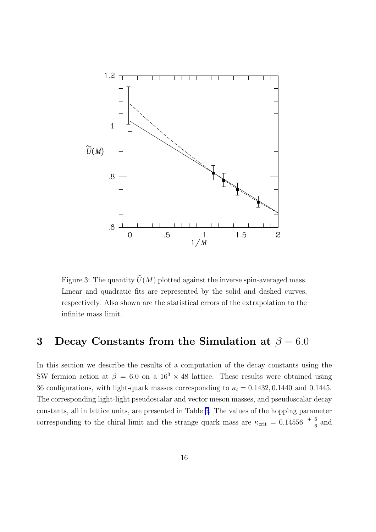<span id="page-16-0"></span>

Figure 3: The quantity  $\tilde{U}(M)$  plotted against the inverse spin-averaged mass. Linear and quadratic fits are represented by the solid and dashed curves, respectively. Also shown are the statistical errors of the extrapolation to the infinite mass limit.

# 3 Decay Constants from the Simulation at  $\beta = 6.0$

In this section we describe the results of a computation of the decay constants using the SW fermion action at  $\beta = 6.0$  on a  $16^3 \times 48$  lattice. These results were obtained using 36 configurations, with light-quark masses corresponding to  $\kappa_l = 0.1432, 0.1440$  and 0.1445. The corresponding light-light pseudoscalar and vector meson masses, and pseudoscalar decay constants, all in lattice units, are presented in Table [6](#page-17-0). The values of the hopping parameter corresponding to the chiral limit and the strange quark mass are  $\kappa_{\text{crit}} = 0.14556 \begin{pmatrix} + & 6 \\ - & 6 \end{pmatrix}$  and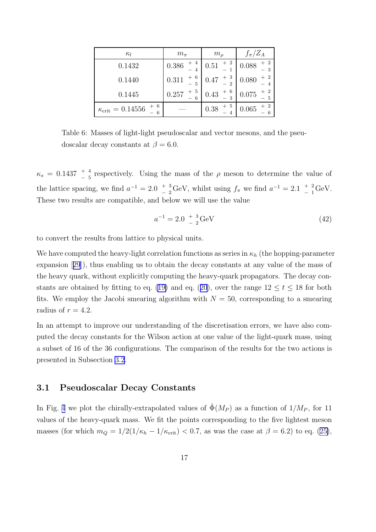<span id="page-17-0"></span>

| $\kappa_l$                                  | $m_{\pi}$     | m <sub>o</sub>                 | $f_{\pi}/Z_A$ |
|---------------------------------------------|---------------|--------------------------------|---------------|
| 0.1432                                      | 4<br>0.386    | $\overline{2}$<br>0.51         | 0.088         |
| 0.1440                                      | -6<br>0.311   | $+3$<br>0.47<br>$\overline{2}$ | 0.080         |
| 0.1445                                      | $+5$<br>0.257 | 6<br>0.43<br>3                 | 0.075         |
| $+ 6$<br>$\kappa_{\rm crit} = 0.14556$<br>6 |               | 5<br>$+$<br>0.38               | 0.065         |

Table 6: Masses of light-light pseudoscalar and vector mesons, and the pseudoscalar decay constants at  $\beta = 6.0$ .

 $\kappa_s = 0.1437 \begin{array}{c} + & 4 \\ - & 5 \end{array}$  respectively. Using the mass of the  $\rho$  meson to determine the value of the lattice spacing, we find  $a^{-1} = 2.0$   $+ \frac{3}{2}$  $\frac{1}{2}$ <sup>+</sup> <sup>3</sup><sub>-</sub> 2</sub> GeV, whilst using  $f_{\pi}$  we find  $a^{-1} = 2.1$   $\frac{1}{2}$   $\frac{2}{1}$  $\frac{4}{1}$  GeV. These two results are compatible, and below we will use the value

$$
a^{-1} = 2.0 \begin{array}{c} +3 \\ -2 \end{array} \text{GeV} \tag{42}
$$

to convert the results from lattice to physical units.

We have computed the heavy-light correlation functions as series in  $\kappa_h$  (the hopping-parameter expansion [[29](#page-30-0)]), thus enabling us to obtain the decay constants at any value of the mass of the heavy quark, without explicitly computing the heavy-quark propagators. The decay con-stants are obtained by fitting to eq. ([19\)](#page-7-0) and eq. ([20](#page-7-0)), over the range  $12 \le t \le 18$  for both fits. We employ the Jacobi smearing algorithm with  $N = 50$ , corresponding to a smearing radius of  $r = 4.2$ .

In an attempt to improve our understanding of the discretisation errors, we have also computed the decay constants for the Wilson action at one value of the light-quark mass, using a subset of 16 of the 36 configurations. The comparison of the results for the two actions is presented in Subsection [3.2](#page-18-0).

#### 3.1 Pseudoscalar Decay Constants

In Fig. [4](#page-19-0) we plot the chirally-extrapolated values of  $\hat{\Phi}(M_P)$  as a function of  $1/M_P$ , for 11 values of the heavy-quark mass. We fit the points corresponding to the five lightest meson masses (for which  $m_Q = 1/2(1/\kappa_h - 1/\kappa_{\rm crit}) < 0.7$ , as was the case at  $\beta = 6.2$ ) to eq. ([25\)](#page-11-0),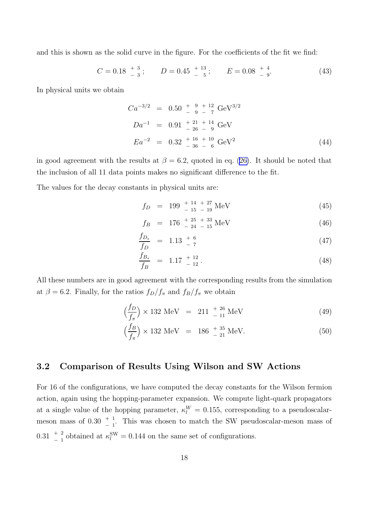<span id="page-18-0"></span>and this is shown as the solid curve in the figure. For the coefficients of the fit we find:

$$
C = 0.18 \begin{array}{c} +3 \\ -3 \end{array}; \qquad D = 0.45 \begin{array}{c} +13 \\ -5 \end{array}; \qquad E = 0.08 \begin{array}{c} +4 \\ -9 \end{array} \tag{43}
$$

In physical units we obtain

$$
Ca^{-3/2} = 0.50 + \frac{9}{9} + \frac{12}{7} \text{ GeV}^{3/2}
$$
  
\n
$$
Da^{-1} = 0.91 + \frac{21}{26} + \frac{14}{9} \text{ GeV}
$$
  
\n
$$
Ea^{-2} = 0.32 + \frac{16}{36} + \frac{10}{6} \text{ GeV}^2
$$
 (44)

in good agreement with the results at  $\beta = 6.2$ , quoted in eq. ([26\)](#page-11-0). It should be noted that the inclusion of all 11 data points makes no significant difference to the fit.

The values for the decay constants in physical units are:

$$
f_D = 199 \, \frac{+ \, 14}{- \, 15 \, - \, 19} \, \text{MeV} \tag{45}
$$

$$
f_B = 176 \, \frac{+ \, 25 \, + \, 33}{- \, 24 \, - \, 15} \, \text{MeV} \tag{46}
$$

$$
\frac{f_{D_s}}{f_D} = 1.13 \frac{+}{5} \tag{47}
$$

$$
\frac{f_{B_s}}{f_B} = 1.17 \begin{array}{c} +12 \\ -12 \end{array} . \tag{48}
$$

All these numbers are in good agreement with the corresponding results from the simulation at  $\beta = 6.2$ . Finally, for the ratios  $f_D/f_\pi$  and  $f_B/f_\pi$  we obtain

$$
\left(\frac{f_D}{f_\pi}\right) \times 132 \text{ MeV} = 211 \, ^{+ 26}_{- 11} \text{ MeV} \tag{49}
$$

$$
\left(\frac{f_B}{f_\pi}\right) \times 132 \text{ MeV} = 186 \, ^{+\, 35}_{-\, 21} \text{ MeV.} \tag{50}
$$

## 3.2 Comparison of Results Using Wilson and SW Actions

For 16 of the configurations, we have computed the decay constants for the Wilson fermion action, again using the hopping-parameter expansion. We compute light-quark propagators at a single value of the hopping parameter,  $\kappa_l^W = 0.155$ , corresponding to a pseudoscalarmeson mass of  $0.30 \begin{array}{c} +1 \\ -1 \end{array}$ . This was chosen to match the SW pseudoscalar-meson mass of 0.31  $+$  2 obtained at  $\kappa_l^{\text{SW}} = 0.144$  on the same set of configurations.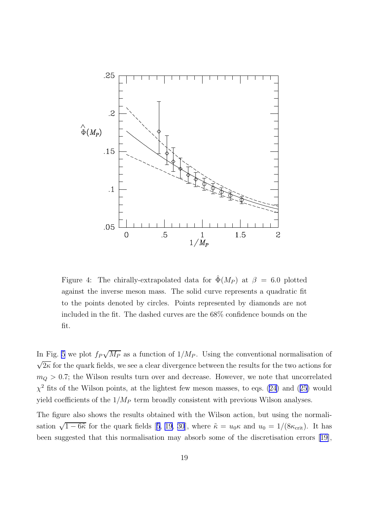<span id="page-19-0"></span>

Figure 4: The chirally-extrapolated data for  $\hat{\Phi}(M_P)$  at  $\beta = 6.0$  plotted against the inverse meson mass. The solid curve represents a quadratic fit to the points denoted by circles. Points represented by diamonds are not included in the fit. The dashed curves are the 68% confidence bounds on the fit.

In Fig. [5](#page-20-0) we plot  $f_P\sqrt{M_P}$  as a function of  $1/M_P$ . Using the conventional normalisation of  $\sqrt{2\kappa}$  for the quark fields, we see a clear divergence between the results for the two actions for  $m_Q$   $>$  0.7; the Wilson results turn over and decrease. However, we note that uncorrelated  $\chi^2$  fits of the Wilson points, at the lightest few meson masses, to eqs. [\(24\)](#page-11-0) and ([25\)](#page-11-0) would yield coefficients of the  $1/M_P$  term broadly consistent with previous Wilson analyses.

The figure also shows the results obtained with the Wilson action, but using the normalisation  $\sqrt{1-6\tilde{\kappa}}$  for the quark fields [[5](#page-29-0), [19,](#page-30-0) [30](#page-30-0)], where  $\tilde{\kappa} = u_0 \kappa$  and  $u_0 = 1/(8\kappa_{\rm crit})$ . It has been suggested that this normalisation may absorb some of the discretisation errors [\[19\]](#page-30-0),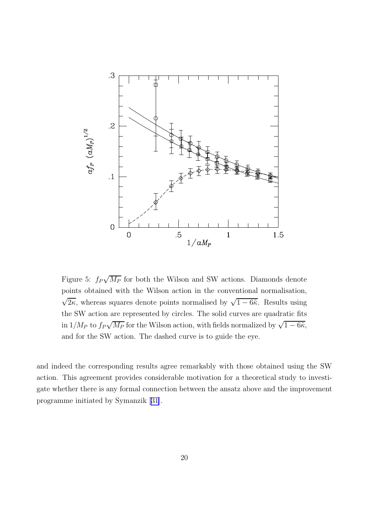<span id="page-20-0"></span>

Figure 5:  $f_P\sqrt{M_P}$  for both the Wilson and SW actions. Diamonds denote points obtained with the Wilson action in the conventional normalisation,  $\sqrt{2\kappa}$ , whereas squares denote points normalised by  $\sqrt{1-6\tilde{\kappa}}$ . Results using the SW action are represented by circles. The solid curves are quadratic fits in  $1/M_P$  to  $f_P\sqrt{M_P}$  for the Wilson action, with fields normalized by  $\sqrt{1-6\tilde{\kappa}}$ , and for the SW action. The dashed curve is to guide the eye.

and indeed the corresponding results agree remarkably with those obtained using the SW action. This agreement provides considerable motivation for a theoretical study to investigate whether there is any formal connection between the ansatz above and the improvement programme initiated by Symanzik [\[31\]](#page-30-0).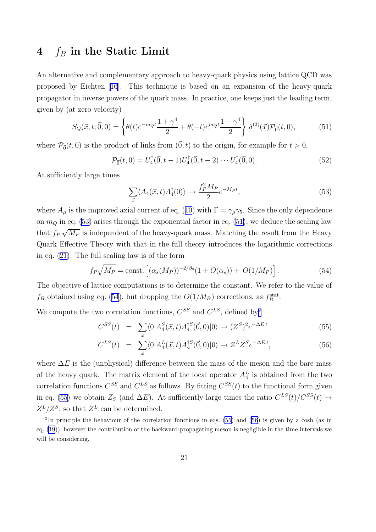# 4  $f_B$  in the Static Limit

An alternative and complementary approach to heavy-quark physics using lattice QCD was proposed by Eichten [[16](#page-29-0)]. This technique is based on an expansion of the heavy-quark propagator in inverse powers of the quark mass. In practice, one keeps just the leading term, given by (at zero velocity)

$$
S_Q(\vec{x}, t; \vec{0}, 0) = \left\{ \theta(t)e^{-m_Q t} \frac{1+\gamma^4}{2} + \theta(-t)e^{m_Q t} \frac{1-\gamma^4}{2} \right\} \delta^{(3)}(\vec{x}) \mathcal{P}_{\vec{0}}(t, 0), \tag{51}
$$

where  $P_{\vec{0}}(t,0)$  is the product of links from  $(\vec{0},t)$  to the origin, for example for  $t > 0$ ,

$$
\mathcal{P}_{\vec{0}}(t,0) = U_4^{\dagger}(\vec{0},t-1)U_4^{\dagger}(\vec{0},t-2)\cdots U_4^{\dagger}(\vec{0},0). \tag{52}
$$

At sufficiently large times

$$
\sum_{\vec{x}} \langle A_4(\vec{x}, t) A_4^\dagger(0) \rangle \to \frac{f_P^2 M_P}{2} e^{-M_P t}, \tag{53}
$$

where  $A_\mu$  is the improved axial current of eq. ([10](#page-3-0)) with  $\Gamma = \gamma_\mu \gamma_5$ . Since the only dependence on  $m_Q$  in eq. (53) arises through the exponential factor in eq. (51), we deduce the scaling law that  $f_P\sqrt{M_P}$  is independent of the heavy-quark mass. Matching the result from the Heavy Quark Effective Theory with that in the full theory introduces the logarithmic corrections in eq. ([21](#page-10-0)). The full scaling law is of the form

$$
f_P \sqrt{M_P} = \text{const.} \left[ (\alpha_s(M_P))^{-2/\beta_0} (1 + O(\alpha_s)) + O(1/M_P) \right]. \tag{54}
$$

The objective of lattice computations is to determine the constant. We refer to the value of  $f_B$  obtained using eq. (54), but dropping the  $O(1/M_B)$  corrections, as  $f_B^{\text{stat}}$ .

We compute the two correlation functions,  $C^{SS}$  and  $C^{LS}$ , defined by<sup>2</sup>

$$
C^{SS}(t) = \sum_{\vec{x}} \langle 0 | A_4^S(\vec{x}, t) A_4^{\dagger S}(\vec{0}, 0) | 0 \rangle \to (Z^S)^2 e^{-\Delta E t}
$$
(55)

$$
C^{LS}(t) = \sum_{\vec{x}} \langle 0 | A_4^L(\vec{x}, t) A_4^{\dagger S}(\vec{0}, 0) | 0 \rangle \to Z^L Z^S e^{-\Delta E t}, \tag{56}
$$

where  $\Delta E$  is the (unphysical) difference between the mass of the meson and the bare mass of the heavy quark. The matrix element of the local operator  $A_4^L$  is obtained from the two correlation functions  $C^{SS}$  and  $C^{LS}$  as follows. By fitting  $C^{SS}(t)$  to the functional form given in eq. (55) we obtain  $Z_s$  (and  $\Delta E$ ). At sufficiently large times the ratio  $C^{LS}(t)/C^{SS}(t) \rightarrow$  $Z^L/Z^S$ , so that  $Z^L$  can be determined.

<sup>&</sup>lt;sup>2</sup>In principle the behaviour of the correlation functions in eqs. (55) and (56) is given by a cosh (as in eq. [\(19](#page-7-0))), however the contribution of the backward-propagating meson is negligible in the time intervals we will be considering.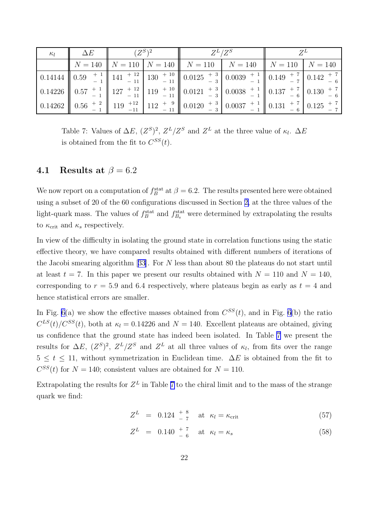| $\kappa_l$ | $\Delta E$ | $(Z^S)^2$ | $Z^L/Z^S$                                                                                                                       |  |  |
|------------|------------|-----------|---------------------------------------------------------------------------------------------------------------------------------|--|--|
|            |            |           | $\parallel N = 140 \parallel N = 110 \parallel N = 140 \parallel N = 110 \parallel N = 140 \parallel N = 110 \parallel N = 140$ |  |  |
|            |            |           |                                                                                                                                 |  |  |
|            |            |           |                                                                                                                                 |  |  |
|            |            |           |                                                                                                                                 |  |  |

Table 7: Values of  $\Delta E$ ,  $(Z^{S})^2$ ,  $Z^{L}/Z^{S}$  and  $Z^{L}$  at the three value of  $\kappa_l$ .  $\Delta E$ is obtained from the fit to  $C^{SS}(t)$ .

## 4.1 Results at  $\beta = 6.2$

We now report on a computation of  $f_B^{\text{stat}}$  at  $\beta = 6.2$ . The results presented here were obtained using a subset of 20 of the 60 configurations discussed in Section [2,](#page-5-0) at the three values of the light-quark mass. The values of  $f_B^{\text{stat}}$  and  $f_{B_s}^{\text{stat}}$  were determined by extrapolating the results to  $\kappa_{\rm crit}$  and  $\kappa_s$  respectively.

In view of the difficulty in isolating the ground state in correlation functions using the static effective theory, we have compared results obtained with different numbers of iterations of the Jacobi smearing algorithm [[33](#page-30-0)]. For N less than about 80 the plateaus do not start until at least  $t = 7$ . In this paper we present our results obtained with  $N = 110$  and  $N = 140$ , corresponding to  $r = 5.9$  and 6.4 respectively, where plateaus begin as early as  $t = 4$  and hence statistical errors are smaller.

In Fig. [6\(](#page-23-0)a) we show the effective masses obtained from  $C^{SS}(t)$ , and in Fig. 6(b) the ratio  $C^{LS}(t)/C^{SS}(t)$ , both at  $\kappa_l = 0.14226$  and  $N = 140$ . Excellent plateaus are obtained, giving us confidence that the ground state has indeed been isolated. In Table 7 we present the results for  $\Delta E$ ,  $(Z^S)^2$ ,  $Z^L/Z^S$  and  $Z^L$  at all three values of  $\kappa_l$ , from fits over the range  $5 \le t \le 11$ , without symmetrization in Euclidean time.  $\Delta E$  is obtained from the fit to  $C^{SS}(t)$  for  $N = 140$ ; consistent values are obtained for  $N = 110$ .

Extrapolating the results for  $Z^L$  in Table 7 to the chiral limit and to the mass of the strange quark we find:

$$
Z^{L} = 0.124 \begin{array}{c} +8 \\ -7 \end{array} \text{ at } \kappa_{l} = \kappa_{\text{crit}} \tag{57}
$$

$$
Z^{L} = 0.140 \t{+} \t{7}{6} \t at \t \kappa_{l} = \kappa_{s}
$$
 (58)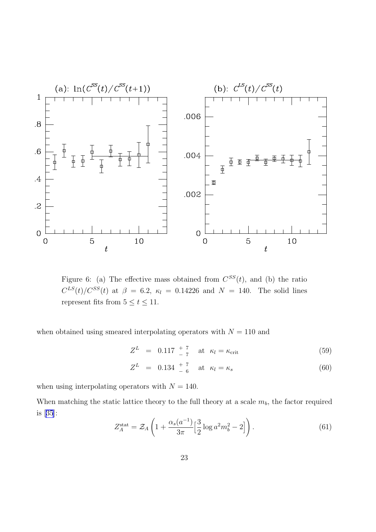<span id="page-23-0"></span>

Figure 6: (a) The effective mass obtained from  $C^{SS}(t)$ , and (b) the ratio  $C^{LS}(t)/C^{SS}(t)$  at  $\beta = 6.2$ ,  $\kappa_l = 0.14226$  and  $N = 140$ . The solid lines represent fits from  $5 \le t \le 11$ .

when obtained using smeared interpolating operators with  $N = 110$  and

 $Z^{L} = 0.117 \frac{+7}{-7}$  at  $\kappa_{l} = \kappa_{\rm crit}$  (59)

$$
Z^{L} = 0.134 \tfrac{+7}{-6} \t \text{at} \t \kappa_{l} = \kappa_{s} \t (60)
$$

when using interpolating operators with  $N = 140$ .

When matching the static lattice theory to the full theory at a scale  $m_b$ , the factor required is [[35](#page-31-0)]:

$$
Z_A^{\text{stat}} = \mathcal{Z}_A \left( 1 + \frac{\alpha_s(a^{-1})}{3\pi} \left[ \frac{3}{2} \log a^2 m_b^2 - 2 \right] \right). \tag{61}
$$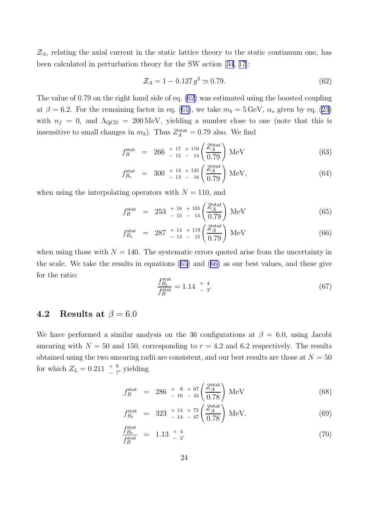<span id="page-24-0"></span> $\mathcal{Z}_A$ , relating the axial current in the static lattice theory to the static continuum one, has been calculated in perturbation theory for the SW action [[34](#page-31-0), [17](#page-30-0)]:

$$
\mathcal{Z}_A = 1 - 0.127 \, g^2 \simeq 0.79. \tag{62}
$$

The value of 0.79 on the right hand side of eq. (62) was estimated using the boosted coupling at  $\beta = 6.2$ . For the remaining factor in eq. ([61\)](#page-23-0), we take  $m_b = 5 \,\text{GeV}, \alpha_s$  given by eq. [\(23\)](#page-11-0) with  $n_f = 0$ , and  $\Lambda_{\text{QCD}} = 200 \,\text{MeV}$ , yielding a number close to one (note that this is insensitive to small changes in  $m_b$ ). Thus  $Z_A^{\text{stat}} = 0.79$  also. We find

$$
f_B^{\text{stat}} = 266 \, \frac{+ \, 17 \, \, + \, 110}{- \, 15 \, \, - \, \, 14} \left( \frac{Z_A^{\text{stat}}}{0.79} \right) \, \text{MeV} \tag{63}
$$

$$
f_{B_8}^{\text{stat}} = 300 \, \frac{+ \, 14}{- \, 13 \, - \, 16} \left( \frac{Z_A^{\text{stat}}}{0.79} \right) \text{MeV},\tag{64}
$$

when using the interpolating operators with  $N = 110$ , and

$$
f_B^{\text{stat}} = 253 \frac{+ 16}{- 15} \frac{+ 105}{- 14} \left( \frac{Z_A^{\text{stat}}}{0.79} \right) \text{MeV}
$$
 (65)

$$
f_{B_s}^{\text{stat}} = 287 \, \frac{+ \, 14}{- \, 13 \, - \, 15} \left( \frac{Z_A^{\text{stat}}}{0.79} \right) \text{MeV} \tag{66}
$$

when using those with  $N = 140$ . The systematic errors quoted arise from the uncertainty in the scale. We take the results in equations (65) and (66) as our best values, and these give for the ratio:

$$
\frac{f_{B_s}^{\text{stat}}}{f_B^{\text{stat}}} = 1.14 \begin{array}{c} +4\\ -3 \end{array} \tag{67}
$$

## 4.2 Results at  $\beta = 6.0$

We have performed a similar analysis on the 36 configurations at  $\beta = 6.0$ , using Jacobi smearing with  $N = 50$  and 150, corresponding to  $r = 4.2$  and 6.2 respectively. The results obtained using the two smearing radii are consistent, and our best results are those at  $N = 50$ for which  $Z_L = 0.211 \frac{+}{7}$ , yielding

$$
f_B^{\text{stat}} = 286 \, \frac{+}{-10} \, \frac{8 + 67}{-12} \left( \frac{Z_A^{\text{stat}}}{0.78} \right) \, \text{MeV} \tag{68}
$$

$$
f_{B_s}^{\text{stat}} = 323 \, \frac{+ \, 14}{- \, 14} \, - \, 47 \left( \frac{Z_A^{\text{stat}}}{0.78} \right) \, \text{MeV}. \tag{69}
$$

$$
\frac{f_{B_s}^{\text{stat}}}{f_B^{\text{stat}}} = 1.13 \, \frac{+ \, 4}{- \, 3} \tag{70}
$$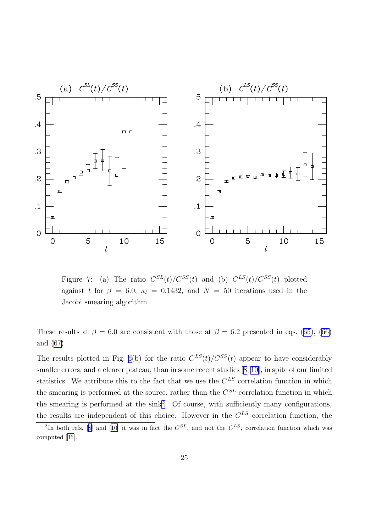<span id="page-25-0"></span>

Figure 7: (a) The ratio  $C^{SL}(t)/C^{SS}(t)$  and (b)  $C^{LS}(t)/C^{SS}(t)$  plotted against t for  $\beta = 6.0$ ,  $\kappa_l = 0.1432$ , and  $N = 50$  iterations used in the Jacobi smearing algorithm.

These results at  $\beta = 6.0$  are consistent with those at  $\beta = 6.2$  presented in eqs. [\(65\)](#page-24-0), ([66\)](#page-24-0) and [\(67\)](#page-24-0).

The results plotted in Fig. [6\(](#page-23-0)b) for the ratio  $C^{LS}(t)/C^{SS}(t)$  appear to have considerably smaller errors, and a clearer plateau, than in some recent studies [\[8,](#page-29-0) [10\]](#page-29-0), in spite of our limited statistics. We attribute this to the fact that we use the  $C^{LS}$  correlation function in which the smearing is performed at the source, rather than the  $C^{SL}$  correlation function in which the smearing is performed at the sink<sup>3</sup>. Of course, with sufficiently many configurations, the results are independent of this choice. However in the  $C^{LS}$  correlation function, the

<sup>&</sup>lt;sup>3</sup>In both refs. [[8\]](#page-29-0) and [[10\]](#page-29-0) it was in fact the  $C^{SL}$ , and not the  $C^{LS}$ , correlation function which was computed [[36\]](#page-31-0).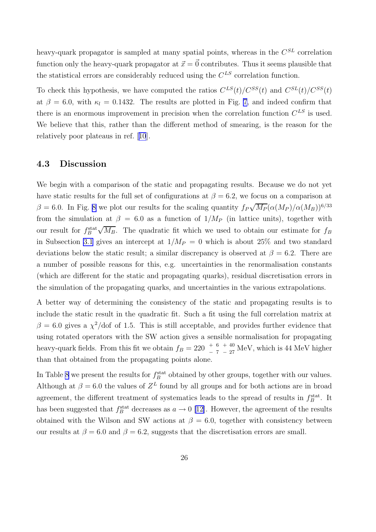heavy-quark propagator is sampled at many spatial points, whereas in the  $C^{SL}$  correlation function only the heavy-quark propagator at  $\vec{x} = \vec{0}$  contributes. Thus it seems plausible that the statistical errors are considerably reduced using the  $C^{LS}$  correlation function.

To check this hypothesis, we have computed the ratios  $C^{LS}(t) / C^{SS}(t)$  and  $C^{SL}(t) / C^{SS}(t)$ at  $\beta = 6.0$ , with  $\kappa_l = 0.1432$ . The results are plotted in Fig. [7](#page-25-0), and indeed confirm that there is an enormous improvement in precision when the correlation function  $C^{LS}$  is used. We believe that this, rather than the different method of smearing, is the reason for the relatively poor plateaus in ref. [[10](#page-29-0)].

#### 4.3 Discussion

We begin with a comparison of the static and propagating results. Because we do not yet have static results for the full set of configurations at  $\beta = 6.2$ , we focus on a comparison at  $\beta = 6.0$ . In Fig. [8](#page-28-0) we plot our results for the scaling quantity  $f_P\sqrt{M_P}(\alpha(M_P)/\alpha(M_B))^{6/33}$ from the simulation at  $\beta = 6.0$  as a function of  $1/M_P$  (in lattice units), together with our result for  $f_B^{\text{stat}}\sqrt{M_B}$ . The quadratic fit which we used to obtain our estimate for  $f_B$ in Subsection [3.1](#page-17-0) gives an intercept at  $1/M_P = 0$  which is about 25% and two standard deviations below the static result; a similar discrepancy is observed at  $\beta = 6.2$ . There are a number of possible reasons for this, e.g. uncertainties in the renormalisation constants (which are different for the static and propagating quarks), residual discretisation errors in the simulation of the propagating quarks, and uncertainties in the various extrapolations.

A better way of determining the consistency of the static and propagating results is to include the static result in the quadratic fit. Such a fit using the full correlation matrix at  $\beta = 6.0$  gives a  $\chi^2$ /dof of 1.5. This is still acceptable, and provides further evidence that using rotated operators with the SW action gives a sensible normalisation for propagating heavy-quark fields. From this fit we obtain  $f_B = 220^{-+6}$  $^{+\,40}_{-\,27}$  MeV, which is 44 MeV higher than that obtained from the propagating points alone.

In Table [8](#page-27-0) we present the results for  $f_B^{\text{stat}}$  obtained by other groups, together with our values. Although at  $\beta = 6.0$  the values of  $Z^L$  found by all groups and for both actions are in broad agreement, the different treatment of systematics leads to the spread of results in  $f_B^{\text{stat}}$ . It has been suggested that  $f_B^{\text{stat}}$  decreases as  $a \to 0$  [\[12\]](#page-29-0). However, the agreement of the results obtained with the Wilson and SW actions at  $\beta = 6.0$ , together with consistency between our results at  $\beta = 6.0$  and  $\beta = 6.2$ , suggests that the discretisation errors are small.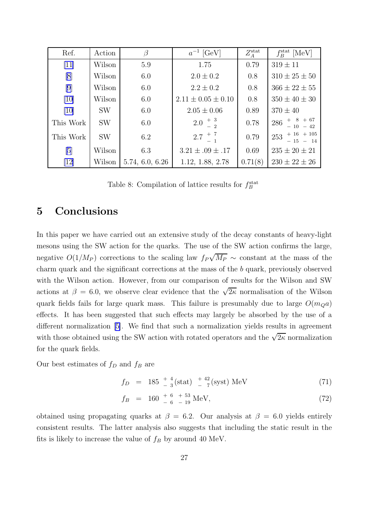<span id="page-27-0"></span>

| Ref.      | Action    | ß               | $a^{-1}$ [GeV]           | $Z_A^{\rm stat}$ | $f^{\rm stat}_B$<br>[MeV]      |
|-----------|-----------|-----------------|--------------------------|------------------|--------------------------------|
| $[11]$    | Wilson    | 5.9             | 1.75                     | 0.79             | $319 \pm 11$                   |
| [8]       | Wilson    | 6.0             | $2.0 \pm 0.2$            | 0.8              | $310 \pm 25 \pm 50$            |
| [9]       | Wilson    | 6.0             | $2.2 \pm 0.2$            | 0.8              | $366 \pm 22 \pm 55$            |
| [10]      | Wilson    | 6.0             | $2.11 \pm 0.05 \pm 0.10$ | 0.8              | $350 \pm 40 \pm 30$            |
| [10]      | <b>SW</b> | 6.0             | $2.05 \pm 0.06$          | 0.89             | $370 \pm 40$                   |
| This Work | <b>SW</b> | 6.0             | $2.0^{+3}_{-2}$          | 0.78             | $286$ + $8$ + 67<br>- 10 - 42  |
| This Work | <b>SW</b> | 6.2             | $2.7^{+7}$               | 0.79             | $253$ + 16 + 105<br>$-15 - 14$ |
| [5]       | Wilson    | 6.3             | $3.21 \pm .09 \pm .17$   | 0.69             | $235 \pm 20 \pm 21$            |
| [12]      | Wilson    | 5.74, 6.0, 6.26 | 1.12, 1.88, 2.78         | 0.71(8)          | $230 \pm 22 \pm 26$            |

Table 8: Compilation of lattice results for  $f_B^{\text{stat}}$ 

# 5 Conclusions

In this paper we have carried out an extensive study of the decay constants of heavy-light mesons using the SW action for the quarks. The use of the SW action confirms the large, negative  $O(1/M_P)$  corrections to the scaling law  $f_P\sqrt{M_P} \sim$  constant at the mass of the charm quark and the significant corrections at the mass of the b quark, previously observed with the Wilson action. However, from our comparison of results for the Wilson and SW actions at  $\beta = 6.0$ , we observe clear evidence that the  $\sqrt{2\kappa}$  normalisation of the Wilson quark fields fails for large quark mass. This failure is presumably due to large  $O(m_0a)$ effects. It has been suggested that such effects may largely be absorbed by the use of a different normalization [\[5\]](#page-29-0). We find that such a normalization yields results in agreement with those obtained using the SW action with rotated operators and the  $\sqrt{2\kappa}$  normalization for the quark fields.

Our best estimates of  $f_D$  and  $f_B$  are

$$
f_D = 185 \frac{+}{-3} \text{(stat)} \frac{+42}{-7} \text{(syst)} \text{ MeV} \tag{71}
$$

$$
f_B = 160 \, \frac{+ \, 6}{- \, 6} \, \frac{+ \, 53}{- \, 19} \, \text{MeV},\tag{72}
$$

obtained using propagating quarks at  $\beta = 6.2$ . Our analysis at  $\beta = 6.0$  yields entirely consistent results. The latter analysis also suggests that including the static result in the fits is likely to increase the value of  $f_B$  by around 40 MeV.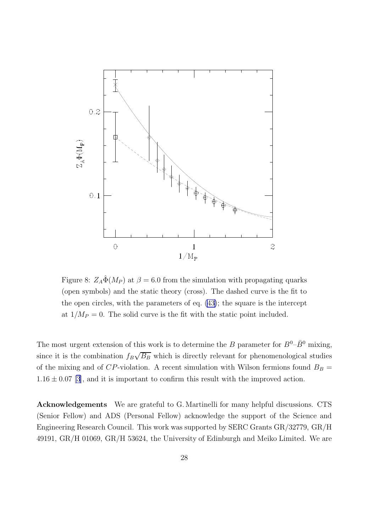<span id="page-28-0"></span>

Figure 8:  $Z_A \hat{\Phi}(M_P)$  at  $\beta = 6.0$  from the simulation with propagating quarks (open symbols) and the static theory (cross). The dashed curve is the fit to the open circles, with the parameters of eq. [\(43\)](#page-18-0); the square is the intercept at  $1/M_P = 0$ . The solid curve is the fit with the static point included.

The most urgent extension of this work is to determine the B parameter for  $B^0$ - $\bar{B}^0$  mixing, since it is the combination  $f_B\sqrt{B_B}$  which is directly relevant for phenomenological studies of the mixing and of  $CP$ -violation. A recent simulation with Wilson fermions found  $B_B =$  $1.16 \pm 0.07$  [\[3\]](#page-29-0), and it is important to confirm this result with the improved action.

Acknowledgements We are grateful to G. Martinelli for many helpful discussions. CTS (Senior Fellow) and ADS (Personal Fellow) acknowledge the support of the Science and Engineering Research Council. This work was supported by SERC Grants GR/32779, GR/H 49191, GR/H 01069, GR/H 53624, the University of Edinburgh and Meiko Limited. We are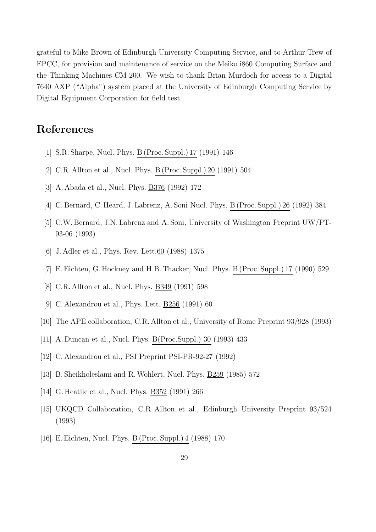<span id="page-29-0"></span>grateful to Mike Brown of Edinburgh University Computing Service, and to Arthur Trew of EPCC, for provision and maintenance of service on the Meiko i860 Computing Surface and the Thinking Machines CM-200. We wish to thank Brian Murdoch for access to a Digital 7640 AXP ("Alpha") system placed at the University of Edinburgh Computing Service by Digital Equipment Corporation for field test.

# References

- [1] S.R. Sharpe, Nucl. Phys. B (Proc. Suppl.) 17 (1991) 146
- [2] C.R. Allton et al., Nucl. Phys. B (Proc. Suppl.) 20 (1991) 504
- [3] A. Abada et al., Nucl. Phys. B376 (1992) 172
- [4] C. Bernard, C. Heard, J. Labrenz, A. Soni Nucl. Phys. B (Proc. Suppl.) 26 (1992) 384
- [5] C.W. Bernard, J.N. Labrenz and A. Soni, University of Washington Preprint UW/PT-93-06 (1993)
- [6] J. Adler et al., Phys. Rev. Lett. <u>60</u> (1988) 1375
- [7] E.Eichten, G. Hockney and H.B. Thacker, Nucl. Phys. B (Proc. Suppl.) 17 (1990) 529
- [8] C.R. Allton et al., Nucl. Phys. B349 (1991) 598
- [9] C. Alexandrou et al., Phys. Lett. B256 (1991) 60
- [10] The APE collaboration, C.R. Allton et al., University of Rome Preprint 93/928 (1993)
- [11] A. Duncan et al., Nucl. Phys. B(Proc.Suppl.) 30 (1993) 433
- [12] C. Alexandrou et al., PSI Preprint PSI-PR-92-27 (1992)
- [13] B. Sheikholeslami and R. Wohlert, Nucl. Phys. **B259** (1985) 572
- [14] G. Heatlie et al., Nucl. Phys. B352 (1991) 266
- [15] UKQCD Collaboration, C.R. Allton et al., Edinburgh University Preprint 93/524 (1993)
- [16] E.Eichten, Nucl. Phys. B (Proc. Suppl.) 4 (1988) 170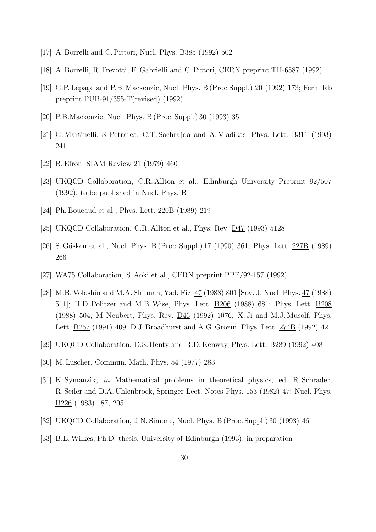- <span id="page-30-0"></span>[17] A. Borrelli and C.Pittori, Nucl. Phys. B385 (1992) 502
- [18] A. Borrelli, R. Frezotti, E. Gabrielli and C.Pittori, CERN preprint TH-6587 (1992)
- [19] G.P. Lepage and P.B. Mackenzie, Nucl. Phys. B (Proc.Suppl.) 20 (1992) 173; Fermilab preprint PUB-91/355-T(revised) (1992)
- [20] P.B.Mackenzie, Nucl. Phys. B (Proc. Suppl.) 30 (1993) 35
- [21] G. Martinelli, S.Petrarca, C.T. Sachrajda and A. Vladikas, Phys. Lett. B311 (1993) 241
- [22] B.Efron, SIAM Review 21 (1979) 460
- [23] UKQCD Collaboration, C.R. Allton et al., Edinburgh University Preprint 92/507 (1992), to be published in Nucl. Phys. B
- [24] Ph. Boucaud et al., Phys. Lett. 220B (1989) 219
- [25] UKQCD Collaboration, C.R. Allton et al., Phys. Rev. D47 (1993) 5128
- [26] S. Güsken et al., Nucl. Phys. B (Proc. Suppl.) 17 (1990) 361; Phys. Lett. 227B (1989) 266
- [27] WA75 Collaboration, S. Aoki et al., CERN preprint PPE/92-157 (1992)
- [28] M.B. Voloshin and M.A. Shifman, Yad. Fiz. 47 (1988) 801 [Sov. J. Nucl. Phys. 47 (1988) 511]; H.D.Politzer and M.B.Wise, Phys. Lett. B206 (1988) 681; Phys. Lett. B208 (1988) 504; M. Neubert, Phys. Rev. D46 (1992) 1076; X. Ji and M.J. Musolf, Phys. Lett. B257 (1991) 409; D.J. Broadhurst and A.G. Grozin, Phys. Lett. 274B (1992) 421
- [29] UKQCD Collaboration, D.S. Henty and R.D. Kenway, Phys. Lett. B289 (1992) 408
- [30] M. Lüscher, Commun. Math. Phys.  $54$  (1977) 283
- [31] K. Symanzik, in Mathematical problems in theoretical physics, ed. R. Schrader, R. Seiler and D.A. Uhlenbrock, Springer Lect. Notes Phys. 153 (1982) 47; Nucl. Phys. B226 (1983) 187, 205
- [32] UKQCD Collaboration, J.N. Simone, Nucl. Phys. B (Proc. Suppl.) 30 (1993) 461
- [33] B.E.Wilkes, Ph.D. thesis, University of Edinburgh (1993), in preparation